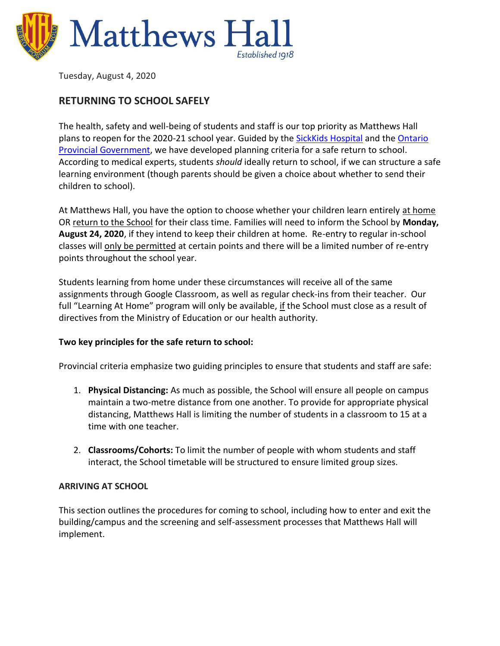

Tuesday, August 4, 2020

# **RETURNING TO SCHOOL SAFELY**

The health, safety and well-being of students and staff is our top priority as Matthews Hall plans to reopen for the 2020-21 school year. Guided by the [SickKids Hospital](https://www.google.com/url?q=https%3A%2F%2Fwww.sickkids.ca%2FPDFs%2FAbout-SickKids%2F81407-COVID19-Recommendations-for-School-Reopening-SickKids.pdf&sa=D&sntz=1&usg=AFQjCNG7TrdDLILFzAMc3PG8fa9nsQqw-Q) and the Ontario [Provincial Government,](https://www.ontario.ca/page/guide-reopening-ontarios-schools#section-0) we have developed planning criteria for a safe return to school. According to medical experts, students *should* ideally return to school, if we can structure a safe learning environment (though parents should be given a choice about whether to send their children to school).

At Matthews Hall, you have the option to choose whether your children learn entirely at home OR return to the School for their class time. Families will need to inform the School by **Monday, August 24, 2020**, if they intend to keep their children at home. Re-entry to regular in-school classes will only be permitted at certain points and there will be a limited number of re-entry points throughout the school year.

Students learning from home under these circumstances will receive all of the same assignments through Google Classroom, as well as regular check-ins from their teacher. Our full "Learning At Home" program will only be available, if the School must close as a result of directives from the Ministry of Education or our health authority.

# **Two key principles for the safe return to school:**

Provincial criteria emphasize two guiding principles to ensure that students and staff are safe:

- 1. **Physical Distancing:** As much as possible, the School will ensure all people on campus maintain a two-metre distance from one another. To provide for appropriate physical distancing, Matthews Hall is limiting the number of students in a classroom to 15 at a time with one teacher.
- 2. **Classrooms/Cohorts:** To limit the number of people with whom students and staff interact, the School timetable will be structured to ensure limited group sizes.

#### **ARRIVING AT SCHOOL**

This section outlines the procedures for coming to school, including how to enter and exit the building/campus and the screening and self-assessment processes that Matthews Hall will implement.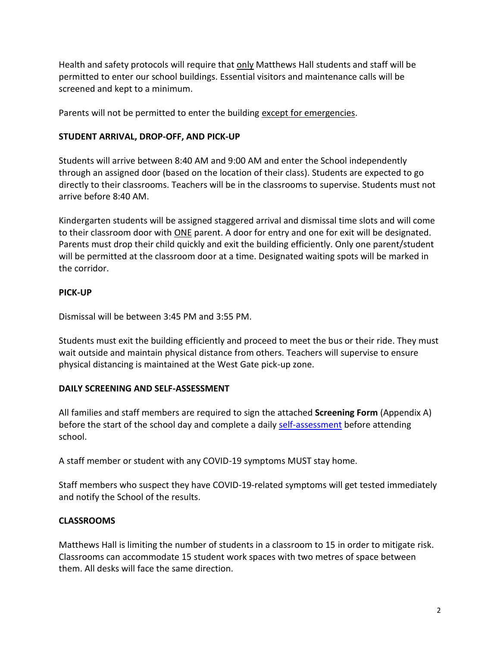Health and safety protocols will require that only Matthews Hall students and staff will be permitted to enter our school buildings. Essential visitors and maintenance calls will be screened and kept to a minimum.

Parents will not be permitted to enter the building except for emergencies.

## **STUDENT ARRIVAL, DROP-OFF, AND PICK-UP**

Students will arrive between 8:40 AM and 9:00 AM and enter the School independently through an assigned door (based on the location of their class). Students are expected to go directly to their classrooms. Teachers will be in the classrooms to supervise. Students must not arrive before 8:40 AM.

Kindergarten students will be assigned staggered arrival and dismissal time slots and will come to their classroom door with ONE parent. A door for entry and one for exit will be designated. Parents must drop their child quickly and exit the building efficiently. Only one parent/student will be permitted at the classroom door at a time. Designated waiting spots will be marked in the corridor.

#### **PICK-UP**

Dismissal will be between 3:45 PM and 3:55 PM.

Students must exit the building efficiently and proceed to meet the bus or their ride. They must wait outside and maintain physical distance from others. Teachers will supervise to ensure physical distancing is maintained at the West Gate pick-up zone.

# **DAILY SCREENING AND SELF-ASSESSMENT**

All families and staff members are required to sign the attached **Screening Form** (Appendix A) before the start of the school day and complete a daily [self-assessment](https://covid19checkup.ca/) before attending school.

A staff member or student with any COVID-19 symptoms MUST stay home.

Staff members who suspect they have COVID-19-related symptoms will get tested immediately and notify the School of the results.

# **CLASSROOMS**

Matthews Hall is limiting the number of students in a classroom to 15 in order to mitigate risk. Classrooms can accommodate 15 student work spaces with two metres of space between them. All desks will face the same direction.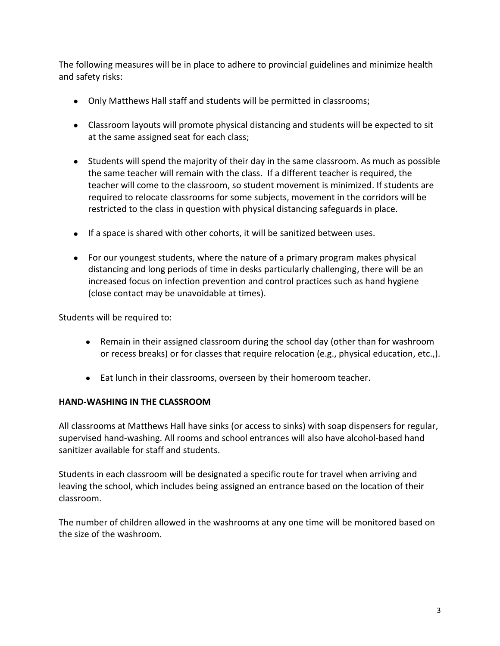The following measures will be in place to adhere to provincial guidelines and minimize health and safety risks:

- Only Matthews Hall staff and students will be permitted in classrooms;
- Classroom layouts will promote physical distancing and students will be expected to sit at the same assigned seat for each class;
- Students will spend the majority of their day in the same classroom. As much as possible the same teacher will remain with the class. If a different teacher is required, the teacher will come to the classroom, so student movement is minimized. If students are required to relocate classrooms for some subjects, movement in the corridors will be restricted to the class in question with physical distancing safeguards in place.
- If a space is shared with other cohorts, it will be sanitized between uses.
- For our youngest students, where the nature of a primary program makes physical distancing and long periods of time in desks particularly challenging, there will be an increased focus on infection prevention and control practices such as hand hygiene (close contact may be unavoidable at times).

Students will be required to:

- Remain in their assigned classroom during the school day (other than for washroom or recess breaks) or for classes that require relocation (e.g., physical education, etc.,).
- Eat lunch in their classrooms, overseen by their homeroom teacher.

#### **HAND-WASHING IN THE CLASSROOM**

All classrooms at Matthews Hall have sinks (or access to sinks) with soap dispensers for regular, supervised hand-washing. All rooms and school entrances will also have alcohol-based hand sanitizer available for staff and students.

Students in each classroom will be designated a specific route for travel when arriving and leaving the school, which includes being assigned an entrance based on the location of their classroom.

The number of children allowed in the washrooms at any one time will be monitored based on the size of the washroom.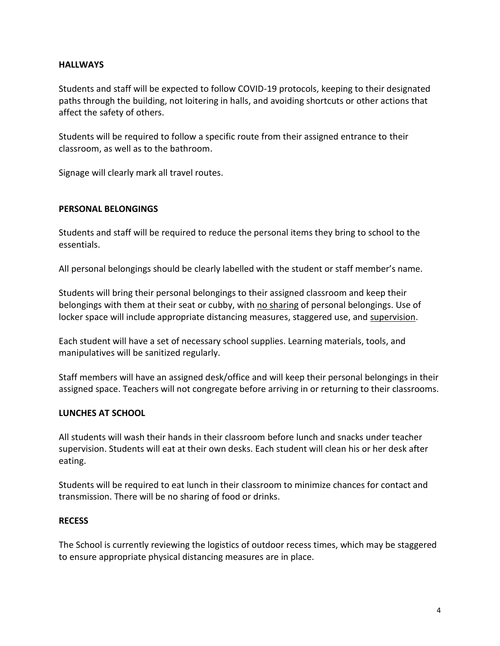#### **HALLWAYS**

Students and staff will be expected to follow COVID-19 protocols, keeping to their designated paths through the building, not loitering in halls, and avoiding shortcuts or other actions that affect the safety of others.

Students will be required to follow a specific route from their assigned entrance to their classroom, as well as to the bathroom.

Signage will clearly mark all travel routes.

#### **PERSONAL BELONGINGS**

Students and staff will be required to reduce the personal items they bring to school to the essentials.

All personal belongings should be clearly labelled with the student or staff member's name.

Students will bring their personal belongings to their assigned classroom and keep their belongings with them at their seat or cubby, with no sharing of personal belongings. Use of locker space will include appropriate distancing measures, staggered use, and supervision.

Each student will have a set of necessary school supplies. Learning materials, tools, and manipulatives will be sanitized regularly.

Staff members will have an assigned desk/office and will keep their personal belongings in their assigned space. Teachers will not congregate before arriving in or returning to their classrooms.

# **LUNCHES AT SCHOOL**

All students will wash their hands in their classroom before lunch and snacks under teacher supervision. Students will eat at their own desks. Each student will clean his or her desk after eating.

Students will be required to eat lunch in their classroom to minimize chances for contact and transmission. There will be no sharing of food or drinks.

#### **RECESS**

The School is currently reviewing the logistics of outdoor recess times, which may be staggered to ensure appropriate physical distancing measures are in place.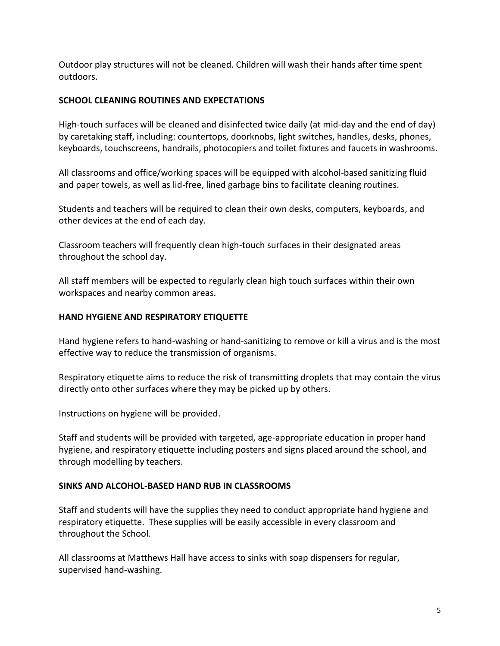Outdoor play structures will not be cleaned. Children will wash their hands after time spent outdoors.

# **SCHOOL CLEANING ROUTINES AND EXPECTATIONS**

High-touch surfaces will be cleaned and disinfected twice daily (at mid-day and the end of day) by caretaking staff, including: countertops, doorknobs, light switches, handles, desks, phones, keyboards, touchscreens, handrails, photocopiers and toilet fixtures and faucets in washrooms.

All classrooms and office/working spaces will be equipped with alcohol-based sanitizing fluid and paper towels, as well as lid-free, lined garbage bins to facilitate cleaning routines.

Students and teachers will be required to clean their own desks, computers, keyboards, and other devices at the end of each day.

Classroom teachers will frequently clean high-touch surfaces in their designated areas throughout the school day.

All staff members will be expected to regularly clean high touch surfaces within their own workspaces and nearby common areas.

# **HAND HYGIENE AND RESPIRATORY ETIQUETTE**

Hand hygiene refers to hand-washing or hand-sanitizing to remove or kill a virus and is the most effective way to reduce the transmission of organisms.

Respiratory etiquette aims to reduce the risk of transmitting droplets that may contain the virus directly onto other surfaces where they may be picked up by others.

Instructions on hygiene will be provided.

Staff and students will be provided with targeted, age-appropriate education in proper hand hygiene, and respiratory etiquette including posters and signs placed around the school, and through modelling by teachers.

#### **SINKS AND ALCOHOL-BASED HAND RUB IN CLASSROOMS**

Staff and students will have the supplies they need to conduct appropriate hand hygiene and respiratory etiquette. These supplies will be easily accessible in every classroom and throughout the School.

All classrooms at Matthews Hall have access to sinks with soap dispensers for regular, supervised hand-washing.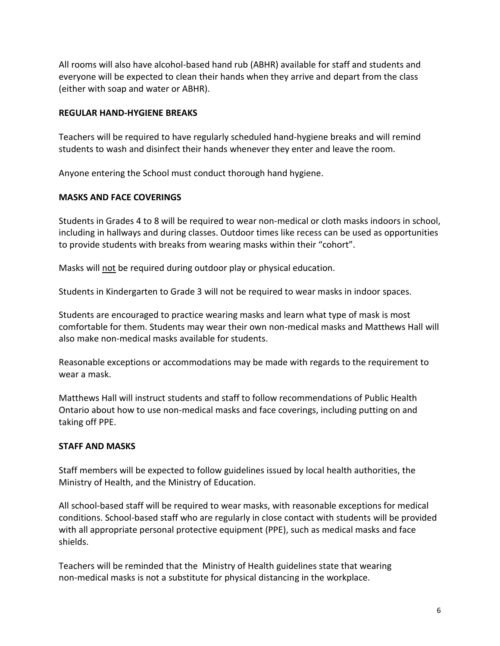All rooms will also have alcohol-based hand rub (ABHR) available for staff and students and everyone will be expected to clean their hands when they arrive and depart from the class (either with soap and water or ABHR).

#### **REGULAR HAND-HYGIENE BREAKS**

Teachers will be required to have regularly scheduled hand-hygiene breaks and will remind students to wash and disinfect their hands whenever they enter and leave the room.

Anyone entering the School must conduct thorough hand hygiene.

# **MASKS AND FACE COVERINGS**

Students in Grades 4 to 8 will be required to wear non-medical or cloth masks indoors in school, including in hallways and during classes. Outdoor times like recess can be used as opportunities to provide students with breaks from wearing masks within their "cohort".

Masks will not be required during outdoor play or physical education.

Students in Kindergarten to Grade 3 will not be required to wear masks in indoor spaces.

Students are encouraged to practice wearing masks and learn what type of mask is most comfortable for them. Students may wear their own non-medical masks and Matthews Hall will also make non-medical masks available for students.

Reasonable exceptions or accommodations may be made with regards to the requirement to wear a mask.

Matthews Hall will instruct students and staff to follow recommendations of Public Health Ontario about how to use non-medical masks and face coverings, including putting on and taking off PPE.

#### **STAFF AND MASKS**

Staff members will be expected to follow guidelines issued by local health authorities, the Ministry of Health, and the Ministry of Education.

All school-based staff will be required to wear masks, with reasonable exceptions for medical conditions. School-based staff who are regularly in close contact with students will be provided with all appropriate personal protective equipment (PPE), such as medical masks and face shields.

Teachers will be reminded that the Ministry of Health guidelines state that wearing non-medical masks is not a substitute for physical distancing in the workplace.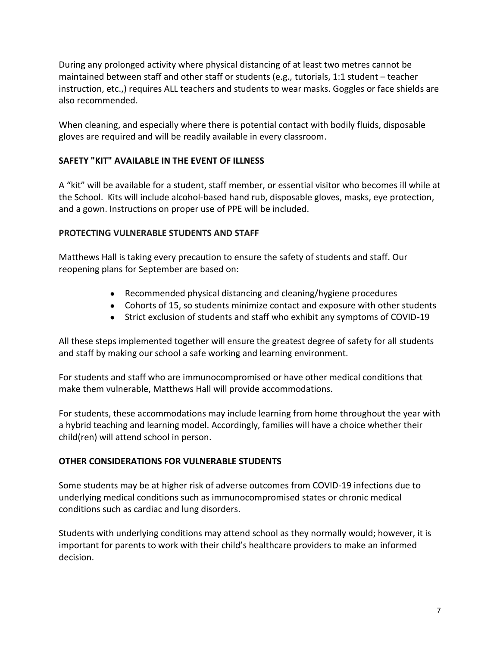During any prolonged activity where physical distancing of at least two metres cannot be maintained between staff and other staff or students (e.g*.,* tutorials, 1:1 student – teacher instruction, etc.,) requires ALL teachers and students to wear masks. Goggles or face shields are also recommended.

When cleaning, and especially where there is potential contact with bodily fluids, disposable gloves are required and will be readily available in every classroom.

# **SAFETY "KIT" AVAILABLE IN THE EVENT OF ILLNESS**

A "kit" will be available for a student, staff member, or essential visitor who becomes ill while at the School. Kits will include alcohol-based hand rub, disposable gloves, masks, eye protection, and a gown. Instructions on proper use of PPE will be included.

# **PROTECTING VULNERABLE STUDENTS AND STAFF**

Matthews Hall is taking every precaution to ensure the safety of students and staff. Our reopening plans for September are based on:

- Recommended physical distancing and cleaning/hygiene procedures
- Cohorts of 15, so students minimize contact and exposure with other students
- Strict exclusion of students and staff who exhibit any symptoms of COVID-19

All these steps implemented together will ensure the greatest degree of safety for all students and staff by making our school a safe working and learning environment.

For students and staff who are immunocompromised or have other medical conditions that make them vulnerable, Matthews Hall will provide accommodations.

For students, these accommodations may include learning from home throughout the year with a hybrid teaching and learning model. Accordingly, families will have a choice whether their child(ren) will attend school in person.

# **OTHER CONSIDERATIONS FOR VULNERABLE STUDENTS**

Some students may be at higher risk of adverse outcomes from COVID-19 infections due to underlying medical conditions such as immunocompromised states or chronic medical conditions such as cardiac and lung disorders.

Students with underlying conditions may attend school as they normally would; however, it is important for parents to work with their child's healthcare providers to make an informed decision.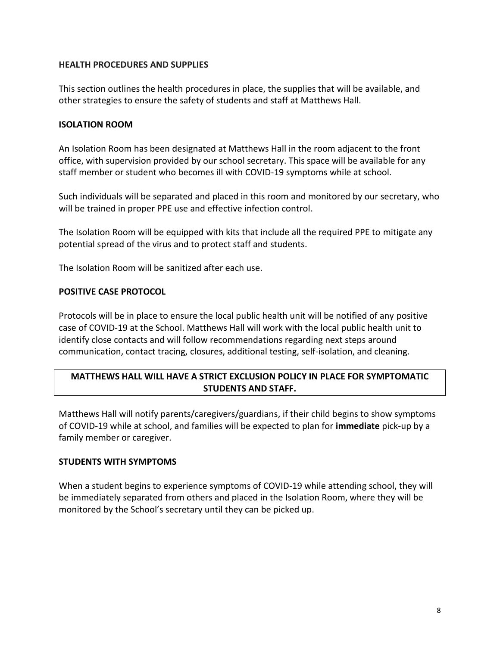#### **HEALTH PROCEDURES AND SUPPLIES**

This section outlines the health procedures in place, the supplies that will be available, and other strategies to ensure the safety of students and staff at Matthews Hall.

#### **ISOLATION ROOM**

An Isolation Room has been designated at Matthews Hall in the room adjacent to the front office, with supervision provided by our school secretary. This space will be available for any staff member or student who becomes ill with COVID-19 symptoms while at school.

Such individuals will be separated and placed in this room and monitored by our secretary, who will be trained in proper PPE use and effective infection control.

The Isolation Room will be equipped with kits that include all the required PPE to mitigate any potential spread of the virus and to protect staff and students.

The Isolation Room will be sanitized after each use.

## **POSITIVE CASE PROTOCOL**

Protocols will be in place to ensure the local public health unit will be notified of any positive case of COVID-19 at the School. Matthews Hall will work with the local public health unit to identify close contacts and will follow recommendations regarding next steps around communication, contact tracing, closures, additional testing, self-isolation, and cleaning.

# **MATTHEWS HALL WILL HAVE A STRICT EXCLUSION POLICY IN PLACE FOR SYMPTOMATIC STUDENTS AND STAFF.**

Matthews Hall will notify parents/caregivers/guardians, if their child begins to show symptoms of COVID-19 while at school, and families will be expected to plan for **immediate** pick-up by a family member or caregiver.

#### **STUDENTS WITH SYMPTOMS**

When a student begins to experience symptoms of COVID-19 while attending school, they will be immediately separated from others and placed in the Isolation Room, where they will be monitored by the School's secretary until they can be picked up.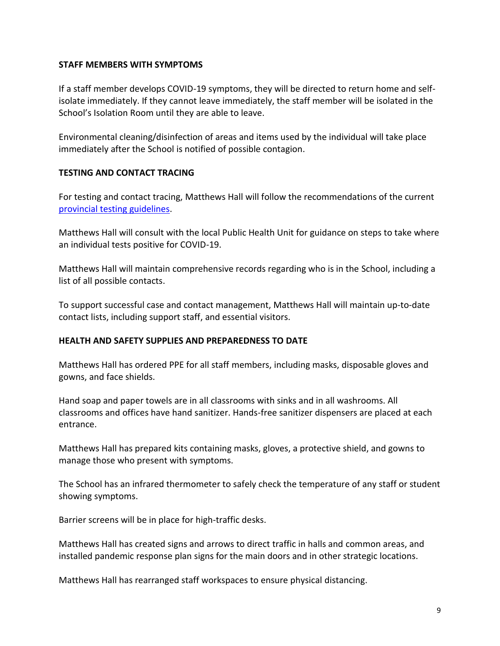#### **STAFF MEMBERS WITH SYMPTOMS**

If a staff member develops COVID-19 symptoms, they will be directed to return home and selfisolate immediately. If they cannot leave immediately, the staff member will be isolated in the School's Isolation Room until they are able to leave.

Environmental cleaning/disinfection of areas and items used by the individual will take place immediately after the School is notified of possible contagion.

## **TESTING AND CONTACT TRACING**

For testing and contact tracing, Matthews Hall will follow the recommendations of the curren[t](http://www.google.com/url?q=http%3A%2F%2Fwww.health.gov.on.ca%2Fen%2Fpro%2Fprograms%2Fpublichealth%2Fcoronavirus%2Fdocs%2F2019_covid_testing_guidance.pdf&sa=D&sntz=1&usg=AFQjCNHgxZUCEV2Tnlq_6jW3naOBGRDNLQ) [provincial testing guidelines.](http://www.google.com/url?q=http%3A%2F%2Fwww.health.gov.on.ca%2Fen%2Fpro%2Fprograms%2Fpublichealth%2Fcoronavirus%2Fdocs%2F2019_covid_testing_guidance.pdf&sa=D&sntz=1&usg=AFQjCNHgxZUCEV2Tnlq_6jW3naOBGRDNLQ)

Matthews Hall will consult with the local Public Health Unit for guidance on steps to take where an individual tests positive for COVID-19.

Matthews Hall will maintain comprehensive records regarding who is in the School, including a list of all possible contacts.

To support successful case and contact management, Matthews Hall will maintain up-to-date contact lists, including support staff, and essential visitors.

#### **HEALTH AND SAFETY SUPPLIES AND PREPAREDNESS TO DATE**

Matthews Hall has ordered PPE for all staff members, including masks, disposable gloves and gowns, and face shields.

Hand soap and paper towels are in all classrooms with sinks and in all washrooms. All classrooms and offices have hand sanitizer. Hands-free sanitizer dispensers are placed at each entrance[.](https://sites.google.com/utschools.ca/utsbacktoschool/home#h.5a4d4gfuybj)

Matthews Hall has prepared kits containing masks, gloves, a protective shield, and gowns to manage those who present with symptoms.

The School has an infrared thermometer to safely check the temperature of any staff or student showing symptoms[.](https://sites.google.com/utschools.ca/utsbacktoschool/home#h.dzmc7zrxo2ss) 

Barrier screens will be in place for high-traffic desks[.](https://sites.google.com/utschools.ca/utsbacktoschool/home#h.204p5ljihk81)

Matthews Hall has created signs and arrows to direct traffic in halls and common areas, and installed pandemic response plan signs for the main doors and in other strategic locations.

Matthews Hall has rearranged staff workspaces to ensure physical distancing.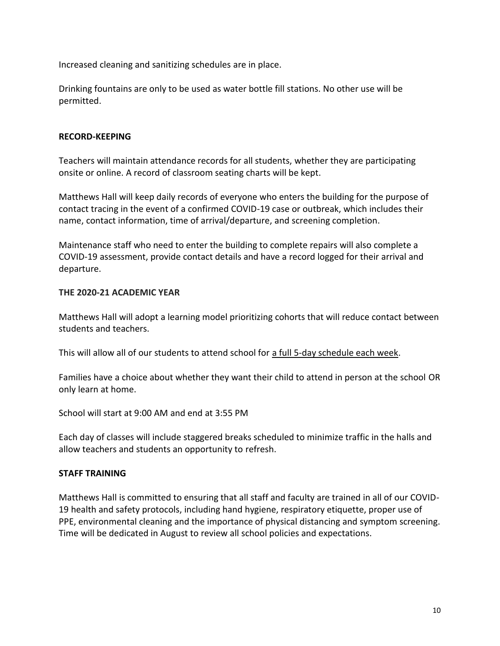Increased cleaning and sanitizing schedules are in place.

Drinking fountains are only to be used as water bottle fill stations. No other use will be permitted.

## **RECORD-KEEPING**

Teachers will maintain attendance records for all students, whether they are participating onsite or online. A record of classroom seating charts will be kept.

Matthews Hall will keep daily records of everyone who enters the building for the purpose of contact tracing in the event of a confirmed COVID-19 case or outbreak, which includes their name, contact information, time of arrival/departure, and screening completion.

Maintenance staff who need to enter the building to complete repairs will also complete a COVID-19 assessment, provide contact details and have a record logged for their arrival and departure.

## **THE 2020-21 ACADEMIC YEAR**

Matthews Hall will adopt a learning model prioritizing cohorts that will reduce contact between students and teachers.

Thiswill allow all of our students to attend school for a full 5-day schedule each week.

Families have a choice about whether they want their child to attend in person at the school OR only learn at home.

School will start at 9:00 AM and end at 3:55 PM

Each day of classes will include staggered breaks scheduled to minimize traffic in the halls and allow teachers and students an opportunity to refresh.

#### **STAFF TRAINING**

Matthews Hall is committed to ensuring that all staff and faculty are trained in all of our COVID-19 health and safety protocols, including hand hygiene, respiratory etiquette, proper use of PPE, environmental cleaning and the importance of physical distancing and symptom screening. Time will be dedicated in August to review all school policies and expectations.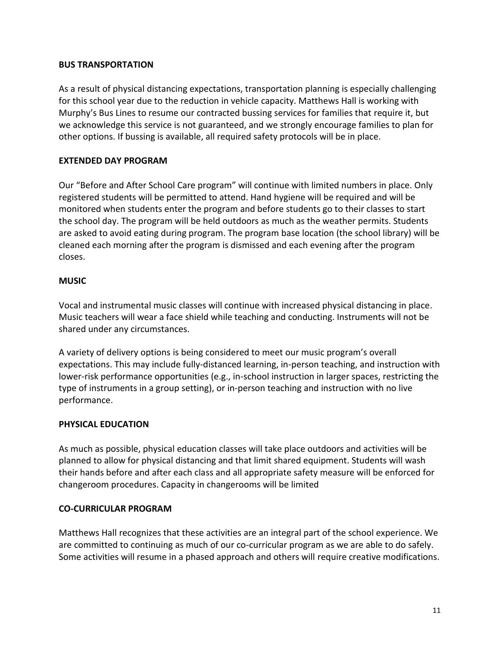## **BUS TRANSPORTATION**

As a result of physical distancing expectations, transportation planning is especially challenging for this school year due to the reduction in vehicle capacity. Matthews Hall is working with Murphy's Bus Lines to resume our contracted bussing services for families that require it, but we acknowledge this service is not guaranteed, and we strongly encourage families to plan for other options. If bussing is available, all required safety protocols will be in place.

# **EXTENDED DAY PROGRAM**

Our "Before and After School Care program" will continue with limited numbers in place. Only registered students will be permitted to attend. Hand hygiene will be required and will be monitored when students enter the program and before students go to their classes to start the school day. The program will be held outdoors as much as the weather permits. Students are asked to avoid eating during program. The program base location (the school library) will be cleaned each morning after the program is dismissed and each evening after the program closes.

## **MUSIC**

Vocal and instrumental music classes will continue with increased physical distancing in place. Music teachers will wear a face shield while teaching and conducting. Instruments will not be shared under any circumstances.

A variety of delivery options is being considered to meet our music program's overall expectations. This may include fully-distanced learning, in-person teaching, and instruction with lower-risk performance opportunities (e.g., in-school instruction in larger spaces, restricting the type of instruments in a group setting), or in-person teaching and instruction with no live performance.

# **PHYSICAL EDUCATION**

As much as possible, physical education classes will take place outdoors and activities will be planned to allow for physical distancing and that limit shared equipment. Students will wash their hands before and after each class and all appropriate safety measure will be enforced for changeroom procedures. Capacity in changerooms will be limited

# **CO-CURRICULAR PROGRAM**

Matthews Hall recognizes that these activities are an integral part of the school experience. We are committed to continuing as much of our co-curricular program as we are able to do safely. Some activities will resume in a phased approach and others will require creative modifications.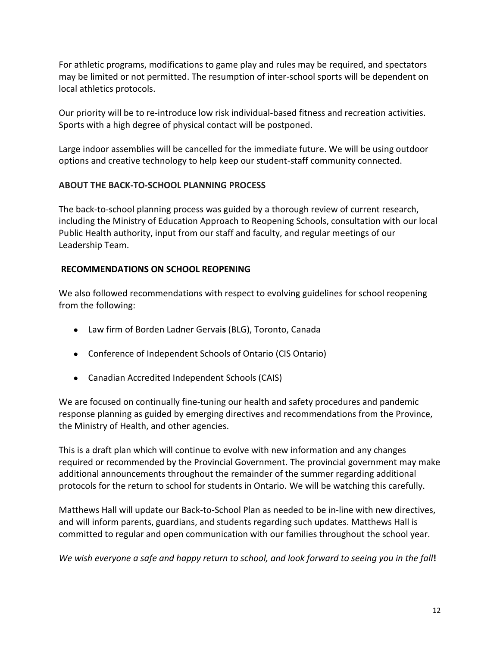For athletic programs, modifications to game play and rules may be required, and spectators may be limited or not permitted. The resumption of inter-school sports will be dependent on local athletics protocols.

Our priority will be to re-introduce low risk individual-based fitness and recreation activities. Sports with a high degree of physical contact will be postponed.

Large indoor assemblies will be cancelled for the immediate future. We will be using outdoor options and creative technology to help keep our student-staff community connected.

# **ABOUT THE BACK-TO-SCHOOL PLANNING PROCESS**

The back-to-school planning process was guided by a thorough review of current research, including the Ministry of Education Approach to Reopening Schools, consultation with our local Public Health authority, input from our staff and faculty, and regular meetings of our Leadership Team.

# **RECOMMENDATIONS ON SCHOOL REOPENING**

We also followed recommendations with respect to evolving guidelines for school reopening from the following:

- Law firm of Borden Ladner Gervai**s** (BLG), Toronto, Canada
- Conference of Independent Schools of Ontario (CIS Ontario)
- Canadian Accredited Independent Schools (CAIS)

We are focused on continually fine-tuning our health and safety procedures and pandemic response planning as guided by emerging directives and recommendations from the Province, the Ministry of Health, and other agencies.

This is a draft plan which will continue to evolve with new information and any changes required or recommended by the Provincial Government. The provincial government may make additional announcements throughout the remainder of the summer regarding additional protocols for the return to school for students in Ontario. We will be watching this carefully.

Matthews Hall will update our Back-to-School Plan as needed to be in-line with new directives, and will inform parents, guardians, and students regarding such updates. Matthews Hall is committed to regular and open communication with our families throughout the school year.

*We wish everyone a safe and happy return to school, and look forward to seeing you in the fall***!**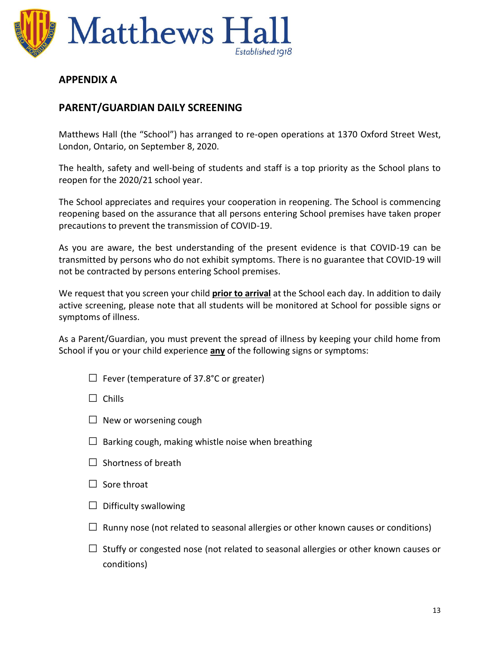

# **APPENDIX A**

# **PARENT/GUARDIAN DAILY SCREENING**

Matthews Hall (the "School") has arranged to re-open operations at 1370 Oxford Street West, London, Ontario, on September 8, 2020.

The health, safety and well-being of students and staff is a top priority as the School plans to reopen for the 2020/21 school year.

The School appreciates and requires your cooperation in reopening. The School is commencing reopening based on the assurance that all persons entering School premises have taken proper precautions to prevent the transmission of COVID-19.

As you are aware, the best understanding of the present evidence is that COVID-19 can be transmitted by persons who do not exhibit symptoms. There is no guarantee that COVID-19 will not be contracted by persons entering School premises.

We request that you screen your child **prior to arrival** at the School each day. In addition to daily active screening, please note that all students will be monitored at School for possible signs or symptoms of illness.

As a Parent/Guardian, you must prevent the spread of illness by keeping your child home from School if you or your child experience **any** of the following signs or symptoms:

 $\Box$  Fever (temperature of 37.8°C or greater)

□ Chills

- $\Box$  New or worsening cough
- $\Box$  Barking cough, making whistle noise when breathing
- $\Box$  Shortness of breath
- $\square$  Sore throat
- $\Box$  Difficulty swallowing
- $\Box$  Runny nose (not related to seasonal allergies or other known causes or conditions)
- $\Box$  Stuffy or congested nose (not related to seasonal allergies or other known causes or conditions)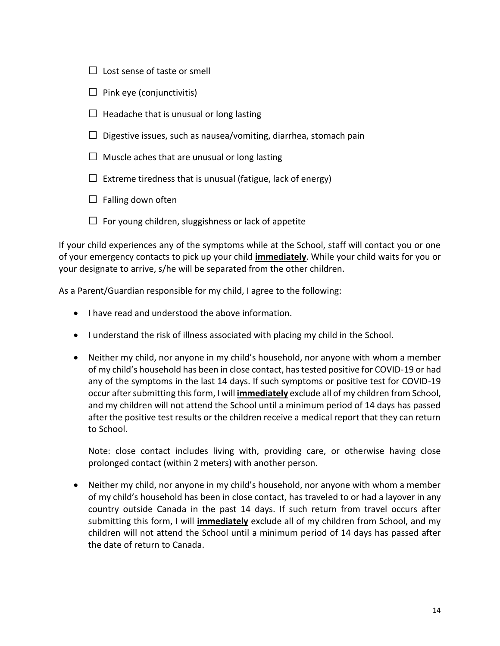- $\Box$  Lost sense of taste or smell
- $\Box$  Pink eye (conjunctivitis)
- $\Box$  Headache that is unusual or long lasting
- $\Box$  Digestive issues, such as nausea/vomiting, diarrhea, stomach pain
- $\Box$  Muscle aches that are unusual or long lasting
- $\Box$  Extreme tiredness that is unusual (fatigue, lack of energy)
- $\Box$  Falling down often
- $\Box$  For young children, sluggishness or lack of appetite

If your child experiences any of the symptoms while at the School, staff will contact you or one of your emergency contacts to pick up your child **immediately**. While your child waits for you or your designate to arrive, s/he will be separated from the other children.

As a Parent/Guardian responsible for my child, I agree to the following:

- I have read and understood the above information.
- I understand the risk of illness associated with placing my child in the School.
- Neither my child, nor anyone in my child's household, nor anyone with whom a member of my child's household has been in close contact, has tested positive for COVID-19 or had any of the symptoms in the last 14 days. If such symptoms or positive test for COVID-19 occur after submitting this form, I will **immediately** exclude all of my children from School, and my children will not attend the School until a minimum period of 14 days has passed after the positive test results or the children receive a medical report that they can return to School.

Note: close contact includes living with, providing care, or otherwise having close prolonged contact (within 2 meters) with another person.

• Neither my child, nor anyone in my child's household, nor anyone with whom a member of my child's household has been in close contact, has traveled to or had a layover in any country outside Canada in the past 14 days. If such return from travel occurs after submitting this form, I will **immediately** exclude all of my children from School, and my children will not attend the School until a minimum period of 14 days has passed after the date of return to Canada.